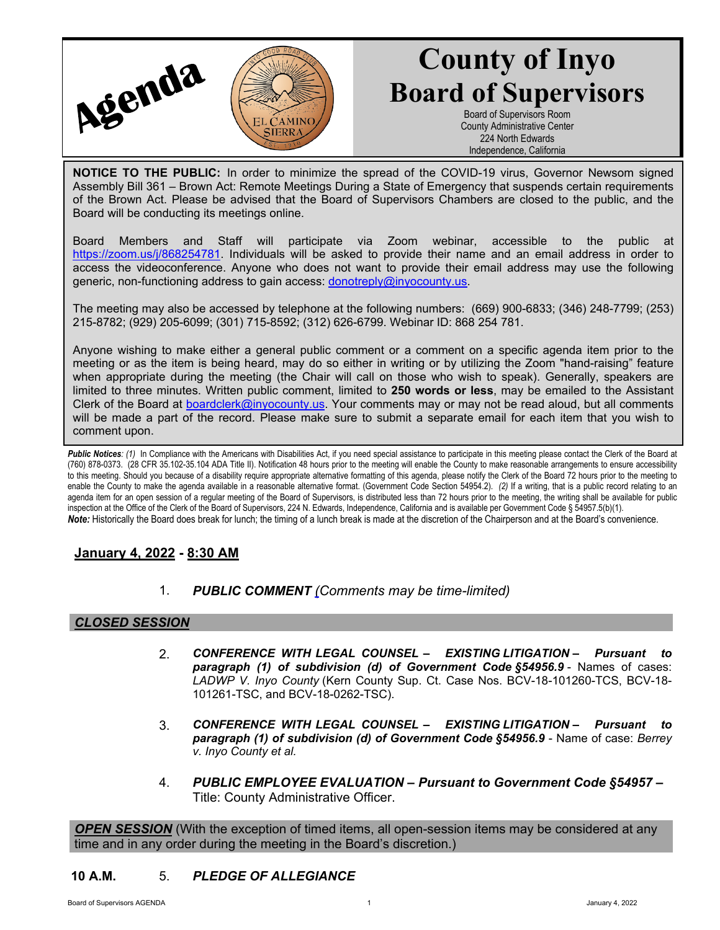

# **County of Inyo Board of Supervisors**

Board of Supervisors Room County Administrative Center 224 North Edwards Independence, California

**NOTICE TO THE PUBLIC:** In order to minimize the spread of the COVID-19 virus, Governor Newsom signed Assembly Bill 361 – Brown Act: Remote Meetings During a State of Emergency that suspends certain requirements of the Brown Act. Please be advised that the Board of Supervisors Chambers are closed to the public, and the Board will be conducting its meetings online.

Board Members and Staff will participate via Zoom webinar, accessible to the public at [https://zoom.us/j/868254781.](https://zoom.us/j/868254781) Individuals will be asked to provide their name and an email address in order to access the videoconference. Anyone who does not want to provide their email address may use the following generic, non-functioning address to gain access: [donotreply@inyocounty.us](mailto:donotreply@inyocounty.us).

The meeting may also be accessed by telephone at the following numbers: (669) 900-6833; (346) 248-7799; (253) 215-8782; (929) 205-6099; (301) 715-8592; (312) 626-6799. Webinar ID: 868 254 781.

Anyone wishing to make either a general public comment or a comment on a specific agenda item prior to the meeting or as the item is being heard, may do so either in writing or by utilizing the Zoom "hand-raising" feature when appropriate during the meeting (the Chair will call on those who wish to speak). Generally, speakers are limited to three minutes. Written public comment, limited to **250 words or less**, may be emailed to the Assistant Clerk of the Board at [boardclerk@inyocounty.us](mailto:boardclerk@inyocounty.us). Your comments may or may not be read aloud, but all comments will be made a part of the record. Please make sure to submit a separate email for each item that you wish to comment upon.

Public Notices: (1) In Compliance with the Americans with Disabilities Act, if you need special assistance to participate in this meeting please contact the Clerk of the Board at (760) 878-0373. (28 CFR 35.102-35.104 ADA Title II). Notification 48 hours prior to the meeting will enable the County to make reasonable arrangements to ensure accessibility to this meeting. Should you because of a disability require appropriate alternative formatting of this agenda, please notify the Clerk of the Board 72 hours prior to the meeting to enable the County to make the agenda available in a reasonable alternative format. (Government Code Section 54954.2). *(2)* If a writing, that is a public record relating to an agenda item for an open session of a regular meeting of the Board of Supervisors, is distributed less than 72 hours prior to the meeting, the writing shall be available for public inspection at the Office of the Clerk of the Board of Supervisors, 224 N. Edwards, Independence, California and is available per Government Code § 54957.5(b)(1). *Note:* Historically the Board does break for lunch; the timing of a lunch break is made at the discretion of the Chairperson and at the Board's convenience.

## **January 4, 2022 - 8:30 AM**

1. *PUBLIC COMMENT [\(C](https://inyococa.v8.civicclerk.com/Meetings/Agenda/ItemFields?id=7609)omments may be time-limited)*

#### *CLOSED SESSION*

- 2. *CONFERENCE WITH LEGAL COUNSEL EXISTING LITIGATION* *Pursuant to*  **paragraph (1) of subdivision (d) of Government Code §54956.9 - Names of cases:** *LADWP V. Inyo County* (Kern County Sup. Ct. Case Nos. BCV-18-101260-TCS, BCV-18- 101261-TSC, and BCV-18-0262-TSC).
- 3. *CONFERENCE WITH LEGAL COUNSEL EXISTING LITIGATION* **–** *Pursuant to paragraph (1) of subdivision (d) of Government Code §54956.9* - Name of case: *Berrey v. Inyo County et al.*
- 4. *PUBLIC EMPLOYEE EVALUATION Pursuant to Government Code §54957 –* Title: County Administrative Officer.

*OPEN SESSION* (With the exception of timed items, all open-session items may be considered at any time and in any order during the meeting in the Board's discretion.)

#### **10 A.M.** 5. *PLEDGE OF ALLEGIANCE*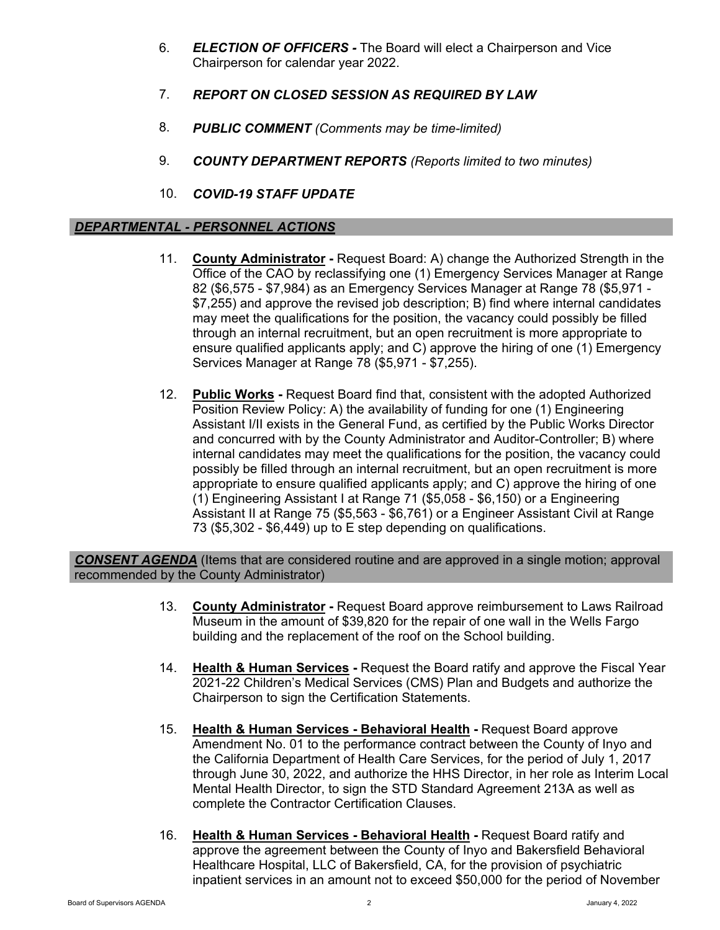- 6. *ELECTION OF OFFICERS* The Board will elect a Chairperson and Vice Chairperson for calendar year 2022.
- 7. *REPORT ON CLOSED SESSION AS REQUIRED BY LAW*
- 8. *PUBLIC COMMENT (Comments may be time-limited)*
- 9. *COUNTY DEPARTMENT REPORTS (Reports limited to two minutes)*
- 10. *COVID-19 STAFF UPDATE*

### *DEPARTMENTAL - PERSONNEL ACTIONS*

- 11. **County Administrator -** Request Board: A) change the Authorized Strength in the Office of the CAO by reclassifying one (1) Emergency Services Manager at Range 82 (\$6,575 - \$7,984) as an Emergency Services Manager at Range 78 (\$5,971 - \$7,255) and approve the revised job description; B) find where internal candidates may meet the qualifications for the position, the vacancy could possibly be filled through an internal recruitment, but an open recruitment is more appropriate to ensure qualified applicants apply; and C) approve the hiring of one (1) Emergency Services Manager at Range 78 (\$5,971 - \$7,255).
- 12. **Public Works -** Request Board find that, consistent with the adopted Authorized Position Review Policy: A) the availability of funding for one (1) Engineering Assistant I/II exists in the General Fund, as certified by the Public Works Director and concurred with by the County Administrator and Auditor-Controller; B) where internal candidates may meet the qualifications for the position, the vacancy could possibly be filled through an internal recruitment, but an open recruitment is more appropriate to ensure qualified applicants apply; and C) approve the hiring of one (1) Engineering Assistant I at Range 71 (\$5,058 - \$6,150) or a Engineering Assistant II at Range 75 (\$5,563 - \$6,761) or a Engineer Assistant Civil at Range 73 (\$5,302 - \$6,449) up to E step depending on qualifications.

*CONSENT AGENDA* (Items that are considered routine and are approved in a single motion; approval recommended by the County Administrator)

- 13. **County Administrator -** Request Board approve reimbursement to Laws Railroad Museum in the amount of \$39,820 for the repair of one wall in the Wells Fargo building and the replacement of the roof on the School building.
- 14. **Health & Human Services -** Request the Board ratify and approve the Fiscal Year 2021-22 Children's Medical Services (CMS) Plan and Budgets and authorize the Chairperson to sign the Certification Statements.
- 15. **Health & Human Services Behavioral Health -** Request Board approve Amendment No. 01 to the performance contract between the County of Inyo and the California Department of Health Care Services, for the period of July 1, 2017 through June 30, 2022, and authorize the HHS Director, in her role as Interim Local Mental Health Director, to sign the STD Standard Agreement 213A as well as complete the Contractor Certification Clauses.
- 16. **Health & Human Services Behavioral Health -** Request Board ratify and approve the agreement between the County of Inyo and Bakersfield Behavioral Healthcare Hospital, LLC of Bakersfield, CA, for the provision of psychiatric inpatient services in an amount not to exceed \$50,000 for the period of November